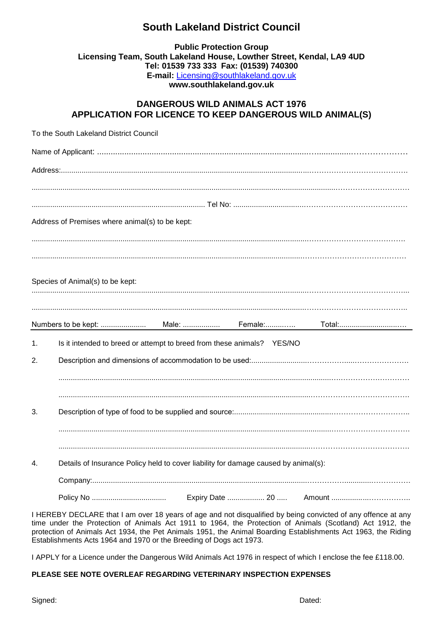## **South Lakeland District Council**

## **Public Protection Group Licensing Team, South Lakeland House, Lowther Street, Kendal, LA9 4UD Tel: 01539 733 333 Fax: (01539) 740300 E-mail:** [Licensing@southlakeland.gov.uk](mailto:Licensing@southlakeland.gov.uk) **www.southlakeland.gov.uk**

## **DANGEROUS WILD ANIMALS ACT 1976 APPLICATION FOR LICENCE TO KEEP DANGEROUS WILD ANIMAL(S)**

|    | To the South Lakeland District Council                                              |
|----|-------------------------------------------------------------------------------------|
|    |                                                                                     |
|    |                                                                                     |
|    |                                                                                     |
|    |                                                                                     |
|    | Address of Premises where animal(s) to be kept:                                     |
|    |                                                                                     |
|    |                                                                                     |
|    | Species of Animal(s) to be kept:                                                    |
|    |                                                                                     |
|    |                                                                                     |
|    | Total:                                                                              |
| 1. | Is it intended to breed or attempt to breed from these animals? YES/NO              |
| 2. |                                                                                     |
|    |                                                                                     |
|    |                                                                                     |
| 3. |                                                                                     |
|    |                                                                                     |
|    |                                                                                     |
| 4. | Details of Insurance Policy held to cover liability for damage caused by animal(s): |
|    |                                                                                     |
|    |                                                                                     |

I HEREBY DECLARE that I am over 18 years of age and not disqualified by being convicted of any offence at any time under the Protection of Animals Act 1911 to 1964, the Protection of Animals (Scotland) Act 1912, the protection of Animals Act 1934, the Pet Animals 1951, the Animal Boarding Establishments Act 1963, the Riding Establishments Acts 1964 and 1970 or the Breeding of Dogs act 1973.

I APPLY for a Licence under the Dangerous Wild Animals Act 1976 in respect of which I enclose the fee £118.00.

## **PLEASE SEE NOTE OVERLEAF REGARDING VETERINARY INSPECTION EXPENSES**